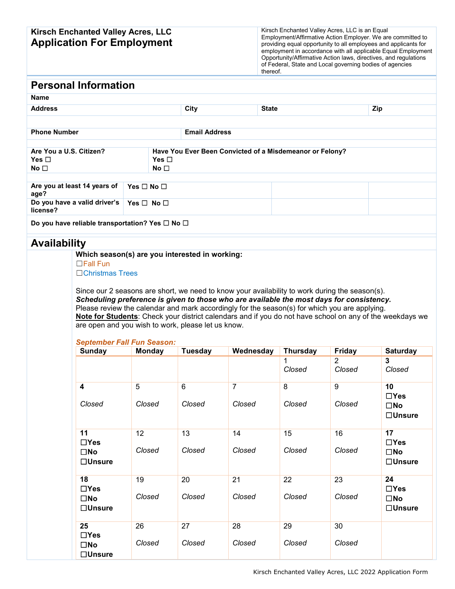### **Kirsch Enchanted Valley Acres, LLC Application For Employment**

Kirsch Enchanted Valley Acres, LLC is an Equal Employment/Affirmative Action Employer. We are committed to providing equal opportunity to all employees and applicants for employment in accordance with all applicable Equal Employment Opportunity/Affirmative Action laws, directives, and regulations of Federal, State and Local governing bodies of agencies thereof.

## **Personal Information**

| <b>Name</b>                                               |                                    |                                                          |                      |              |     |  |  |
|-----------------------------------------------------------|------------------------------------|----------------------------------------------------------|----------------------|--------------|-----|--|--|
| <b>Address</b>                                            |                                    |                                                          | City                 | <b>State</b> | Zip |  |  |
|                                                           |                                    |                                                          |                      |              |     |  |  |
| <b>Phone Number</b>                                       |                                    |                                                          | <b>Email Address</b> |              |     |  |  |
|                                                           |                                    |                                                          |                      |              |     |  |  |
| Are You a U.S. Citizen?                                   |                                    | Have You Ever Been Convicted of a Misdemeanor or Felony? |                      |              |     |  |  |
| Yes $\square$                                             |                                    | Yes $\Box$                                               |                      |              |     |  |  |
|                                                           | No <sub>1</sub><br>No <sub>1</sub> |                                                          |                      |              |     |  |  |
|                                                           |                                    |                                                          |                      |              |     |  |  |
| Are you at least 14 years of<br>age?                      | Yes $\Box$ No $\Box$               |                                                          |                      |              |     |  |  |
| Do you have a valid driver's<br>license?                  | Yes $\Box$ No $\Box$               |                                                          |                      |              |     |  |  |
| Do you have reliable transportation? Yes $\Box$ No $\Box$ |                                    |                                                          |                      |              |     |  |  |

# **Availability**

### **Which season(s) are you interested in working:**

☐Fall Fun

☐Christmas Trees

Since our 2 seasons are short, we need to know your availability to work during the season(s). *Scheduling preference is given to those who are available the most days for consistency.*  Please review the calendar and mark accordingly for the season(s) for which you are applying. **Note for Students**: Check your district calendars and if you do not have school on any of the weekdays we are open and you wish to work, please let us know.

### *September Fall Fun Season:*

| <b>Sunday</b>                    | <b>Monday</b>   | <b>Tuesday</b> | Wednesday | <b>Thursday</b> | <b>Friday</b>            | <b>Saturday</b>               |
|----------------------------------|-----------------|----------------|-----------|-----------------|--------------------------|-------------------------------|
|                                  |                 |                |           | Closed          | $\overline{2}$<br>Closed | 3<br>Closed                   |
| 4                                | 5               | $6\phantom{1}$ | 7         | 8               | $\overline{9}$           | 10<br>$\Box$ Yes              |
| Closed                           | Closed          | Closed         | Closed    | Closed          | Closed                   | $\square$ No<br>$\Box$ Unsure |
| 11<br>$\Box$ Yes                 | 12 <sup>2</sup> | 13             | 14        | 15              | 16                       | 17<br>$\Box$ Yes              |
| $\square$ No<br>$\Box$ Unsure    | Closed          | Closed         | Closed    | Closed          | Closed                   | $\square$ No<br>$\Box$ Unsure |
| 18<br>$\Box$ Yes                 | 19              | 20             | 21        | 22              | 23                       | 24<br>$\Box$ Yes              |
| $\square$ No<br>$\Box$ Unsure    | Closed          | Closed         | Closed    | Closed          | Closed                   | $\square$ No<br>$\Box$ Unsure |
| 25<br>$\Box$ Yes                 | 26              | 27             | 28        | 29              | 30                       |                               |
| $\square$ No<br>$\square$ Unsure | Closed          | Closed         | Closed    | Closed          | Closed                   |                               |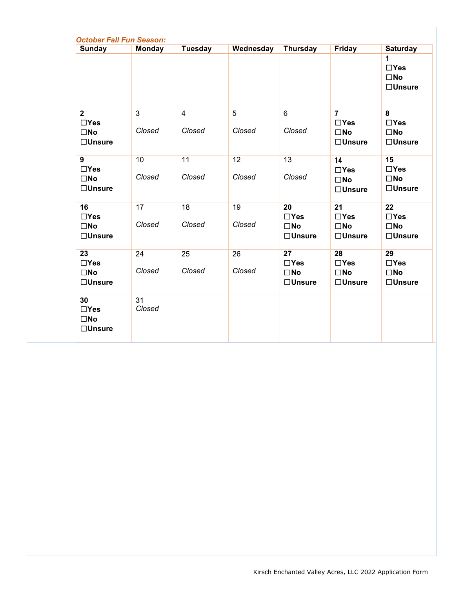| <b>Sunday</b>                                                    | <b>Monday</b>            | Tuesday                  | Wednesday                | <b>Thursday</b>                                   | Friday                                                  | <b>Saturday</b>                                                   |
|------------------------------------------------------------------|--------------------------|--------------------------|--------------------------|---------------------------------------------------|---------------------------------------------------------|-------------------------------------------------------------------|
|                                                                  |                          |                          |                          |                                                   |                                                         | 1<br>$\Box$ Yes<br>$\square$ No<br>$\Box$ Unsure                  |
| $\overline{2}$<br>$\Box$ Yes<br>$\square$ No<br>$\square$ Unsure | $\overline{3}$<br>Closed | $\overline{4}$<br>Closed | $\overline{5}$<br>Closed | 6<br>Closed                                       | $\overline{7}$<br>$\Box$ Yes<br>$\square$ No<br>□Unsure | $\overline{8}$<br>$\Box$ Yes<br>$\square$ No<br>$\Box$ Unsure     |
| $\overline{9}$<br>$\Box$ Yes<br>$\square$ No<br>$\square$ Unsure | 10<br>Closed             | 11<br>Closed             | 12<br>Closed             | 13<br>Closed                                      | 14<br>$\Box$ Yes<br>$\square$ No<br>$\Box$ Unsure       | 15<br>$\Box$ Yes<br>$\square$ No<br>$\Box$ Unsure                 |
| 16<br>$\Box$ Yes<br>$\square$ No<br>$\square$ Unsure             | 17<br>Closed             | 18<br>Closed             | 19<br>Closed             | 20<br>$\Box$ Yes<br>$\square$ No<br>$\Box$ Unsure | 21<br>$\Box$ Yes<br>$\square$ No<br>$\Box$ Unsure       | $\overline{22}$<br>$\Box$ Yes<br>$\square$ No<br>$\square$ Unsure |
| 23<br>$\Box$ Yes<br>$\square$ No<br>$\square$ Unsure             | 24<br>Closed             | 25<br>Closed             | 26<br>Closed             | 27<br>$\Box$ Yes<br>$\square$ No<br>□Unsure       | 28<br>$\Box$ Yes<br>$\square$ No<br>$\square$ Unsure    | 29<br>$\Box$ Yes<br>$\square$ No<br>$\square$ Unsure              |
| 30<br>$\Box$ Yes<br>$\square$ No<br>$\Box$ Unsure                | 31<br>Closed             |                          |                          |                                                   |                                                         |                                                                   |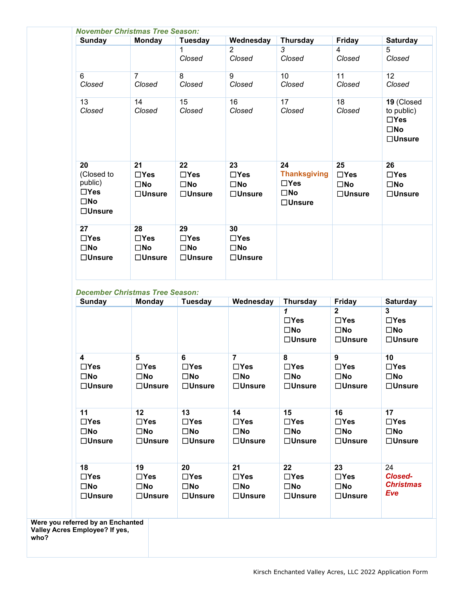| Sunday                                                                                  | <b>Monday</b>                                           | <b>Tuesday</b>                                                    | Wednesday                                                      | <b>Thursday</b>                                                             | Friday                                                        | <b>Saturday</b>                                                         |
|-----------------------------------------------------------------------------------------|---------------------------------------------------------|-------------------------------------------------------------------|----------------------------------------------------------------|-----------------------------------------------------------------------------|---------------------------------------------------------------|-------------------------------------------------------------------------|
|                                                                                         |                                                         | Closed                                                            | $\overline{2}$<br>Closed                                       | $\overline{3}$<br>Closed                                                    | $\overline{4}$<br>Closed                                      | 5<br>Closed                                                             |
| 6<br>Closed                                                                             | $\overline{7}$<br>Closed                                | 8<br>Closed                                                       | 9<br>Closed                                                    | 10<br>Closed                                                                | 11<br>Closed                                                  | 12<br>Closed                                                            |
| 13<br>Closed                                                                            | 14<br>Closed                                            | 15<br>Closed                                                      | 16<br>Closed                                                   | 17<br>Closed                                                                | 18<br>Closed                                                  | 19 (Closed<br>to public)<br>$\Box$ Yes<br>$\square$ No<br>$\Box$ Unsure |
| $\overline{20}$<br>(Closed to<br>public)<br>$\Box$ Yes<br>$\square$ No<br>$\Box$ Unsure | 21<br>$\Box$ Yes<br>$\square$ No<br>$\Box$ Unsure       | $\overline{22}$<br>$\Box$ Yes<br>$\square$ No<br>$\square$ Unsure | $\overline{23}$<br>$\Box$ Yes<br>$\square$ No<br>$\Box$ Unsure | 24<br><b>Thanksgiving</b><br>$\Box$ Yes<br>$\square$ No<br>$\square$ Unsure | 25<br>$\Box$ Yes<br>$\square$ No<br>$\Box$ Unsure             | 26<br>$\Box$ Yes<br>$\square$ No<br>$\Box$ Unsure                       |
| 27<br>$\Box$ Yes<br>$\square$ No<br>$\square$ Unsure                                    | 28<br>$\Box$ Yes<br>$\square$ No<br>$\Box$ Unsure       | 29<br>$\Box$ Yes<br>$\square$ No<br>$\square$ Unsure              | 30<br>$\Box$ Yes<br>$\square$ No<br>□ <b>Unsure</b>            |                                                                             |                                                               |                                                                         |
| <b>Sunday</b>                                                                           | <b>December Christmas Tree Season:</b><br><b>Monday</b> | Tuesday                                                           | Wednesday                                                      | <b>Thursday</b>                                                             | <b>Friday</b>                                                 | <b>Saturday</b>                                                         |
|                                                                                         |                                                         |                                                                   |                                                                | $\mathbf{1}$<br>$\Box$ Yes<br>$\square$ No<br>$\Box$ Unsure                 | $\mathbf{2}$<br>$\Box$ Yes<br>$\square$ No<br>$\Box$ Unsure   | 3<br>$\Box$ Yes<br>$\square$ No<br>□Unsure                              |
| $\overline{\mathbf{4}}$<br>$\Box$ Yes<br>$\square$ No<br>$\Box$ Unsure                  | 5<br>$\Box$ Yes<br>$\square$ No<br>$\Box$ Unsure        | 6<br>$\Box$ Yes<br>$\square$ No<br>$\Box$ Unsure                  | $\overline{7}$<br>$\Box$ Yes<br>$\square$ No<br>$\Box$ Unsure  | 8<br>$\Box$ Yes<br>$\square$ No<br>$\Box$ Unsure                            | $\overline{9}$<br>$\Box$ Yes<br>$\square$ No<br>$\Box$ Unsure | 10<br>$\Box$ Yes<br>$\square$ No<br>$\Box$ Unsure                       |
|                                                                                         | 12                                                      | 13                                                                | 14                                                             | 15                                                                          | 16<br>$\Box$ Yes                                              | 17<br>$\Box$ Yes                                                        |
| 11<br>$\Box$ Yes<br>$\square$ No<br>$\Box$ Unsure                                       | $\Box$ Yes<br>$\square$ No<br>$\Box$ Unsure             | $\Box$ Yes<br>$\square$ No<br>$\Box$ Unsure                       | $\Box$ Yes<br>$\square$ No<br>$\square$ Unsure                 | $\Box$ Yes<br>$\square$ No<br>$\Box$ Unsure                                 | $\square$ No<br>$\square$ Unsure                              | $\square$ No<br>$\square$ Unsure                                        |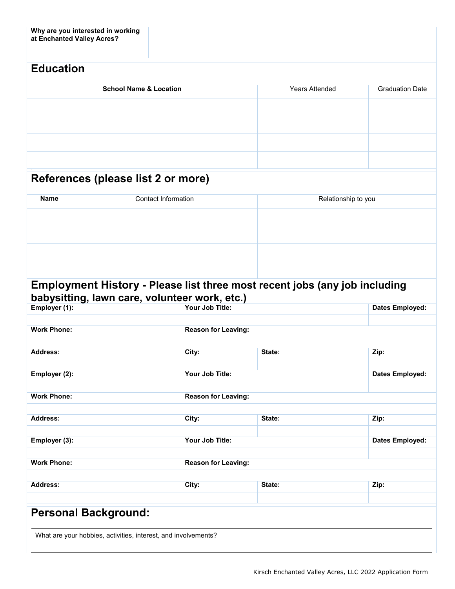| at Enchanted Valley Acres?                                     | Why are you interested in working |                            |                                                                                   |                        |
|----------------------------------------------------------------|-----------------------------------|----------------------------|-----------------------------------------------------------------------------------|------------------------|
| <b>Education</b>                                               |                                   |                            |                                                                                   |                        |
|                                                                | <b>School Name &amp; Location</b> |                            | <b>Years Attended</b>                                                             | <b>Graduation Date</b> |
|                                                                |                                   |                            |                                                                                   |                        |
|                                                                |                                   |                            |                                                                                   |                        |
|                                                                |                                   |                            |                                                                                   |                        |
|                                                                |                                   |                            |                                                                                   |                        |
| References (please list 2 or more)                             |                                   |                            |                                                                                   |                        |
| <b>Name</b>                                                    | <b>Contact Information</b>        |                            |                                                                                   | Relationship to you    |
|                                                                |                                   |                            |                                                                                   |                        |
|                                                                |                                   |                            |                                                                                   |                        |
|                                                                |                                   |                            |                                                                                   |                        |
|                                                                |                                   |                            |                                                                                   |                        |
|                                                                |                                   |                            |                                                                                   |                        |
|                                                                |                                   |                            | <b>Employment History - Please list three most recent jobs (any job including</b> |                        |
| babysitting, lawn care, volunteer work, etc.)<br>Employer (1): |                                   | Your Job Title:            |                                                                                   | <b>Dates Employed:</b> |
|                                                                |                                   |                            |                                                                                   |                        |
| <b>Work Phone:</b>                                             |                                   | <b>Reason for Leaving:</b> |                                                                                   |                        |
| <b>Address:</b>                                                |                                   | City:                      | State:                                                                            | Zip:                   |
|                                                                |                                   |                            |                                                                                   |                        |
| Employer (2):                                                  |                                   | Your Job Title:            |                                                                                   | <b>Dates Employed:</b> |
| <b>Work Phone:</b>                                             |                                   | <b>Reason for Leaving:</b> |                                                                                   |                        |
|                                                                |                                   |                            |                                                                                   |                        |
| <b>Address:</b>                                                |                                   | City:                      | State:                                                                            | Zip:                   |
| Employer (3):                                                  |                                   | Your Job Title:            |                                                                                   | <b>Dates Employed:</b> |
| <b>Work Phone:</b>                                             |                                   |                            |                                                                                   |                        |
|                                                                |                                   | <b>Reason for Leaving:</b> |                                                                                   |                        |
| <b>Address:</b>                                                |                                   | City:                      | State:                                                                            | Zip:                   |
|                                                                |                                   |                            |                                                                                   |                        |
| <b>Personal Background:</b>                                    |                                   |                            |                                                                                   |                        |